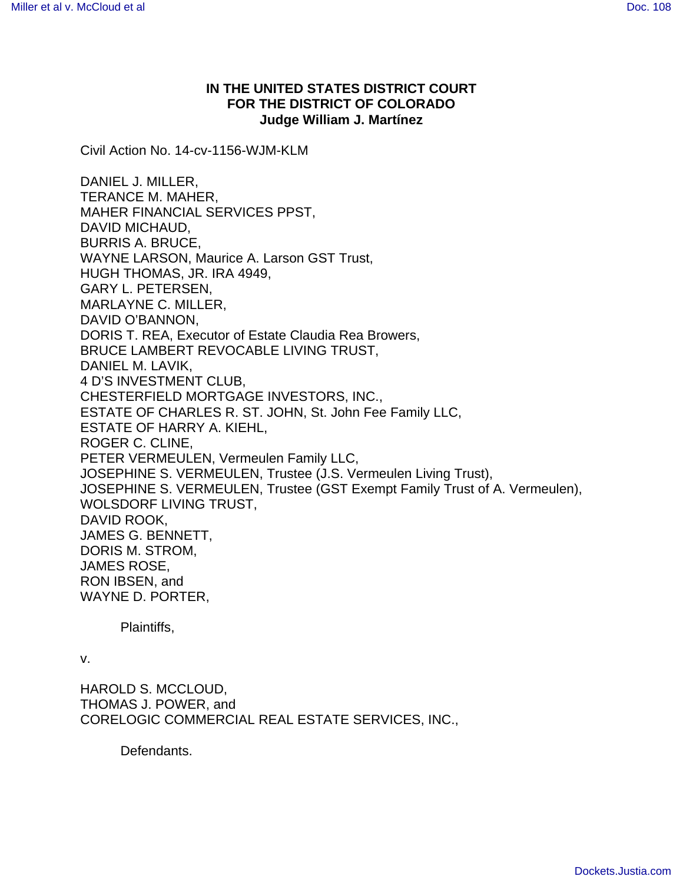## **IN THE UNITED STATES DISTRICT COURT FOR THE DISTRICT OF COLORADO Judge William J. Martínez**

Civil Action No. 14-cv-1156-WJM-KLM

DANIEL J. MILLER, TERANCE M. MAHER, MAHER FINANCIAL SERVICES PPST, DAVID MICHAUD, BURRIS A. BRUCE, WAYNE LARSON, Maurice A. Larson GST Trust, HUGH THOMAS, JR. IRA 4949, GARY L. PETERSEN, MARLAYNE C. MILLER, DAVID O'BANNON, DORIS T. REA, Executor of Estate Claudia Rea Browers, BRUCE LAMBERT REVOCABLE LIVING TRUST, DANIEL M. LAVIK, 4 D'S INVESTMENT CLUB, CHESTERFIELD MORTGAGE INVESTORS, INC., ESTATE OF CHARLES R. ST. JOHN, St. John Fee Family LLC, ESTATE OF HARRY A. KIEHL, ROGER C. CLINE, PETER VERMEULEN, Vermeulen Family LLC, JOSEPHINE S. VERMEULEN, Trustee (J.S. Vermeulen Living Trust), JOSEPHINE S. VERMEULEN, Trustee (GST Exempt Family Trust of A. Vermeulen), WOLSDORF LIVING TRUST, DAVID ROOK, JAMES G. BENNETT, DORIS M. STROM, JAMES ROSE, RON IBSEN, and WAYNE D. PORTER,

Plaintiffs,

v.

HAROLD S. MCCLOUD, THOMAS J. POWER, and CORELOGIC COMMERCIAL REAL ESTATE SERVICES, INC.,

Defendants.